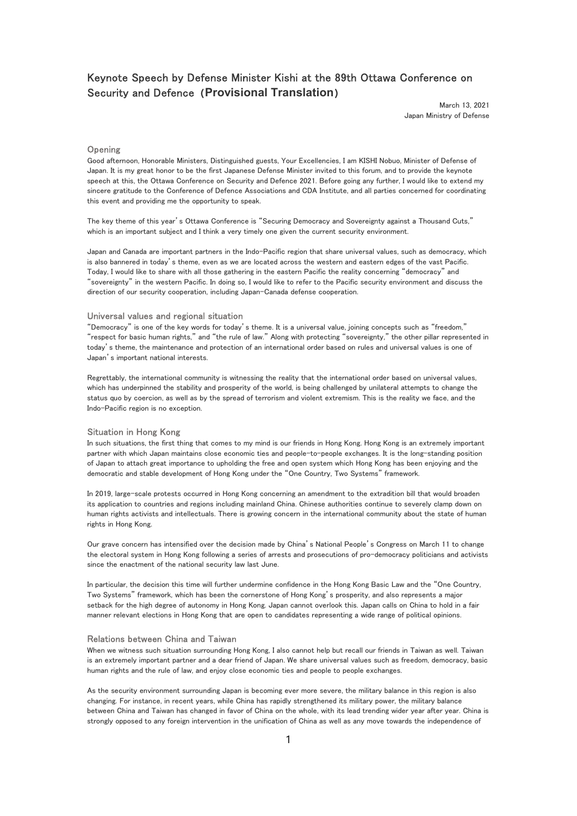# Keynote Speech by Defense Minister Kishi at the 89th Ottawa Conference on Security and Defence (Provisional Translation)

March 13, 2021 Japan Ministry of Defense

# **Opening**

Good afternoon, Honorable Ministers, Distinguished guests, Your Excellencies, I am KISHI Nobuo, Minister of Defense of Japan. It is my great honor to be the first Japanese Defense Minister invited to this forum, and to provide the keynote speech at this, the Ottawa Conference on Security and Defence 2021. Before going any further, I would like to extend my sincere gratitude to the Conference of Defence Associations and CDA Institute, and all parties concerned for coordinating this event and providing me the opportunity to speak.

The key theme of this year's Ottawa Conference is "Securing Democracy and Sovereignty against a Thousand Cuts," which is an important subject and I think a very timely one given the current security environment.

Japan and Canada are important partners in the Indo-Pacific region that share universal values, such as democracy, which is also bannered in today's theme, even as we are located across the western and eastern edges of the vast Pacific. Today, I would like to share with all those gathering in the eastern Pacific the reality concerning "democracy" and "sovereignty" in the western Pacific. In doing so, I would like to refer to the Pacific security environment and discuss the direction of our security cooperation, including Japan-Canada defense cooperation.

## Universal values and regional situation

"Democracy" is one of the key words for today's theme. It is a universal value, joining concepts such as "freedom," "respect for basic human rights," and "the rule of law." Along with protecting "sovereignty," the other pillar represented in today's theme, the maintenance and protection of an international order based on rules and universal values is one of Japan's important national interests.

Regrettably, the international community is witnessing the reality that the international order based on universal values, which has underpinned the stability and prosperity of the world, is being challenged by unilateral attempts to change the status quo by coercion, as well as by the spread of terrorism and violent extremism. This is the reality we face, and the Indo-Pacific region is no exception.

## Situation in Hong Kong

In such situations, the first thing that comes to my mind is our friends in Hong Kong. Hong Kong is an extremely important partner with which Japan maintains close economic ties and people-to-people exchanges. It is the long-standing position of Japan to attach great importance to upholding the free and open system which Hong Kong has been enjoying and the democratic and stable development of Hong Kong under the "One Country, Two Systems" framework.

In 2019, large-scale protests occurred in Hong Kong concerning an amendment to the extradition bill that would broaden its application to countries and regions including mainland China. Chinese authorities continue to severely clamp down on human rights activists and intellectuals. There is growing concern in the international community about the state of human rights in Hong Kong.

Our grave concern has intensified over the decision made by China's National People's Congress on March 11 to change the electoral system in Hong Kong following a series of arrests and prosecutions of pro-democracy politicians and activists since the enactment of the national security law last June.

In particular, the decision this time will further undermine confidence in the Hong Kong Basic Law and the "One Country, Two Systems" framework, which has been the cornerstone of Hong Kong's prosperity, and also represents a major setback for the high degree of autonomy in Hong Kong. Japan cannot overlook this. Japan calls on China to hold in a fair manner relevant elections in Hong Kong that are open to candidates representing a wide range of political opinions.

#### Relations between China and Taiwan

When we witness such situation surrounding Hong Kong, I also cannot help but recall our friends in Taiwan as well. Taiwan is an extremely important partner and a dear friend of Japan. We share universal values such as freedom, democracy, basic human rights and the rule of law, and enjoy close economic ties and people to people exchanges.

As the security environment surrounding Japan is becoming ever more severe, the military balance in this region is also changing. For instance, in recent years, while China has rapidly strengthened its military power, the military balance between China and Taiwan has changed in favor of China on the whole, with its lead trending wider year after year. China is strongly opposed to any foreign intervention in the unification of China as well as any move towards the independence of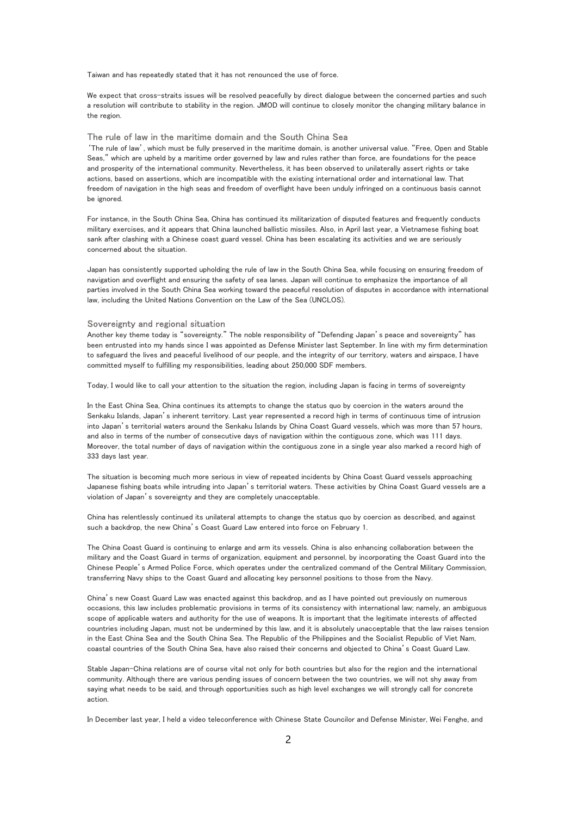Taiwan and has repeatedly stated that it has not renounced the use of force.

We expect that cross-straits issues will be resolved peacefully by direct dialogue between the concerned parties and such a resolution will contribute to stability in the region. JMOD will continue to closely monitor the changing military balance in the region.

# The rule of law in the maritime domain and the South China Sea

'The rule of law', which must be fully preserved in the maritime domain, is another universal value. "Free, Open and Stable Seas," which are upheld by a maritime order governed by law and rules rather than force, are foundations for the peace and prosperity of the international community. Nevertheless, it has been observed to unilaterally assert rights or take actions, based on assertions, which are incompatible with the existing international order and international law. That freedom of navigation in the high seas and freedom of overflight have been unduly infringed on a continuous basis cannot be ignored.

For instance, in the South China Sea, China has continued its militarization of disputed features and frequently conducts military exercises, and it appears that China launched ballistic missiles. Also, in April last year, a Vietnamese fishing boat sank after clashing with a Chinese coast guard vessel. China has been escalating its activities and we are seriously concerned about the situation.

Japan has consistently supported upholding the rule of law in the South China Sea, while focusing on ensuring freedom of navigation and overflight and ensuring the safety of sea lanes. Japan will continue to emphasize the importance of all parties involved in the South China Sea working toward the peaceful resolution of disputes in accordance with international law, including the United Nations Convention on the Law of the Sea (UNCLOS).

#### Sovereignty and regional situation

Another key theme today is "sovereignty." The noble responsibility of "Defending Japan's peace and sovereignty" has been entrusted into my hands since I was appointed as Defense Minister last September. In line with my firm determination to safeguard the lives and peaceful livelihood of our people, and the integrity of our territory, waters and airspace, I have committed myself to fulfilling my responsibilities, leading about 250,000 SDF members.

Today, I would like to call your attention to the situation the region, including Japan is facing in terms of sovereignty

In the East China Sea, China continues its attempts to change the status quo by coercion in the waters around the Senkaku Islands, Japan's inherent territory. Last year represented a record high in terms of continuous time of intrusion into Japan's territorial waters around the Senkaku Islands by China Coast Guard vessels, which was more than 57 hours, and also in terms of the number of consecutive days of navigation within the contiguous zone, which was 111 days. Moreover, the total number of days of navigation within the contiguous zone in a single year also marked a record high of 333 days last year.

The situation is becoming much more serious in view of repeated incidents by China Coast Guard vessels approaching Japanese fishing boats while intruding into Japan's territorial waters. These activities by China Coast Guard vessels are a violation of Japan's sovereignty and they are completely unacceptable.

China has relentlessly continued its unilateral attempts to change the status quo by coercion as described, and against such a backdrop, the new China's Coast Guard Law entered into force on February 1.

The China Coast Guard is continuing to enlarge and arm its vessels. China is also enhancing collaboration between the military and the Coast Guard in terms of organization, equipment and personnel, by incorporating the Coast Guard into the Chinese People's Armed Police Force, which operates under the centralized command of the Central Military Commission, transferring Navy ships to the Coast Guard and allocating key personnel positions to those from the Navy.

China's new Coast Guard Law was enacted against this backdrop, and as I have pointed out previously on numerous occasions, this law includes problematic provisions in terms of its consistency with international law; namely, an ambiguous scope of applicable waters and authority for the use of weapons. It is important that the legitimate interests of affected countries including Japan, must not be undermined by this law, and it is absolutely unacceptable that the law raises tension in the East China Sea and the South China Sea. The Republic of the Philippines and the Socialist Republic of Viet Nam, coastal countries of the South China Sea, have also raised their concerns and objected to China's Coast Guard Law.

Stable Japan-China relations are of course vital not only for both countries but also for the region and the international community. Although there are various pending issues of concern between the two countries, we will not shy away from saying what needs to be said, and through opportunities such as high level exchanges we will strongly call for concrete action.

In December last year, I held a video teleconference with Chinese State Councilor and Defense Minister, Wei Fenghe, and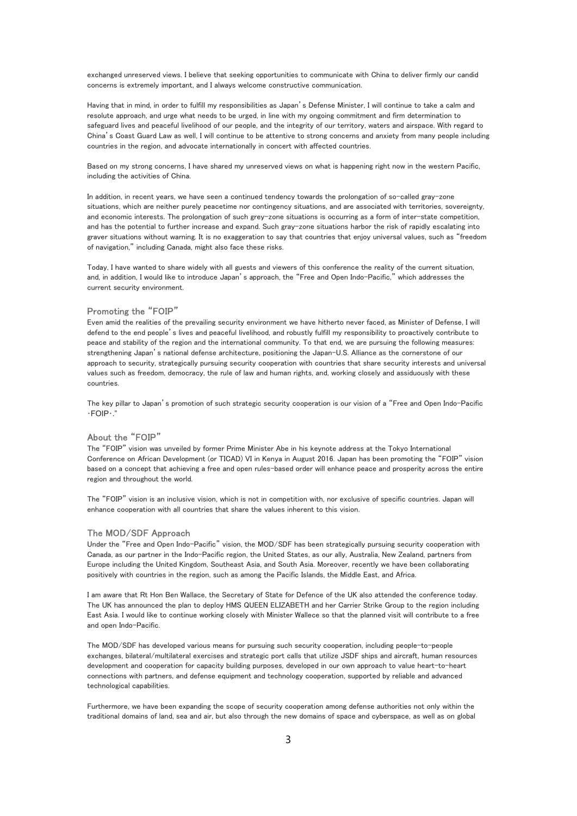exchanged unreserved views. I believe that seeking opportunities to communicate with China to deliver firmly our candid concerns is extremely important, and I always welcome constructive communication.

Having that in mind, in order to fulfill my responsibilities as Japan's Defense Minister, I will continue to take a calm and resolute approach, and urge what needs to be urged, in line with my ongoing commitment and firm determination to safeguard lives and peaceful livelihood of our people, and the integrity of our territory, waters and airspace. With regard to China's Coast Guard Law as well, I will continue to be attentive to strong concerns and anxiety from many people including countries in the region, and advocate internationally in concert with affected countries.

Based on my strong concerns, I have shared my unreserved views on what is happening right now in the western Pacific, including the activities of China.

In addition, in recent years, we have seen a continued tendency towards the prolongation of so-called gray-zone situations, which are neither purely peacetime nor contingency situations, and are associated with territories, sovereignty, and economic interests. The prolongation of such grey-zone situations is occurring as a form of inter-state competition, and has the potential to further increase and expand. Such gray-zone situations harbor the risk of rapidly escalating into graver situations without warning. It is no exaggeration to say that countries that enjoy universal values, such as "freedom of navigation," including Canada, might also face these risks.

Today, I have wanted to share widely with all guests and viewers of this conference the reality of the current situation, and, in addition, I would like to introduce Japan's approach, the "Free and Open Indo-Pacific," which addresses the current security environment.

## Promoting the "FOIP"

Even amid the realities of the prevailing security environment we have hitherto never faced, as Minister of Defense, I will defend to the end people's lives and peaceful livelihood, and robustly fulfill my responsibility to proactively contribute to peace and stability of the region and the international community. To that end, we are pursuing the following measures: strengthening Japan's national defense architecture, positioning the Japan-U.S. Alliance as the cornerstone of our approach to security, strategically pursuing security cooperation with countries that share security interests and universal values such as freedom, democracy, the rule of law and human rights, and, working closely and assiduously with these countries.

The key pillar to Japan's promotion of such strategic security cooperation is our vision of a "Free and Open Indo-Pacific ﴾FOIP﴾."

# About the "FOIP"

The "FOIP" vision was unveiled by former Prime Minister Abe in his keynote address at the Tokyo International Conference on African Development (or TICAD) VI in Kenya in August 2016. Japan has been promoting the "FOIP" vision based on a concept that achieving a free and open rules-based order will enhance peace and prosperity across the entire region and throughout the world.

The "FOIP" vision is an inclusive vision, which is not in competition with, nor exclusive of specific countries. Japan will enhance cooperation with all countries that share the values inherent to this vision.

#### The MOD/SDF Approach

Under the "Free and Open Indo-Pacific" vision, the MOD/SDF has been strategically pursuing security cooperation with Canada, as our partner in the Indo-Pacific region, the United States, as our ally, Australia, New Zealand, partners from Europe including the United Kingdom, Southeast Asia, and South Asia. Moreover, recently we have been collaborating positively with countries in the region, such as among the Pacific Islands, the Middle East, and Africa.

I am aware that Rt Hon Ben Wallace, the Secretary of State for Defence of the UK also attended the conference today. The UK has announced the plan to deploy HMS QUEEN ELIZABETH and her Carrier Strike Group to the region including East Asia. I would like to continue working closely with Minister Wallece so that the planned visit will contribute to a free and open Indo-Pacific.

The MOD/SDF has developed various means for pursuing such security cooperation, including people-to-people exchanges, bilateral/multilateral exercises and strategic port calls that utilize JSDF ships and aircraft, human resources development and cooperation for capacity building purposes, developed in our own approach to value heart-to-heart connections with partners, and defense equipment and technology cooperation, supported by reliable and advanced technological capabilities.

Furthermore, we have been expanding the scope of security cooperation among defense authorities not only within the traditional domains of land, sea and air, but also through the new domains of space and cyberspace, as well as on global